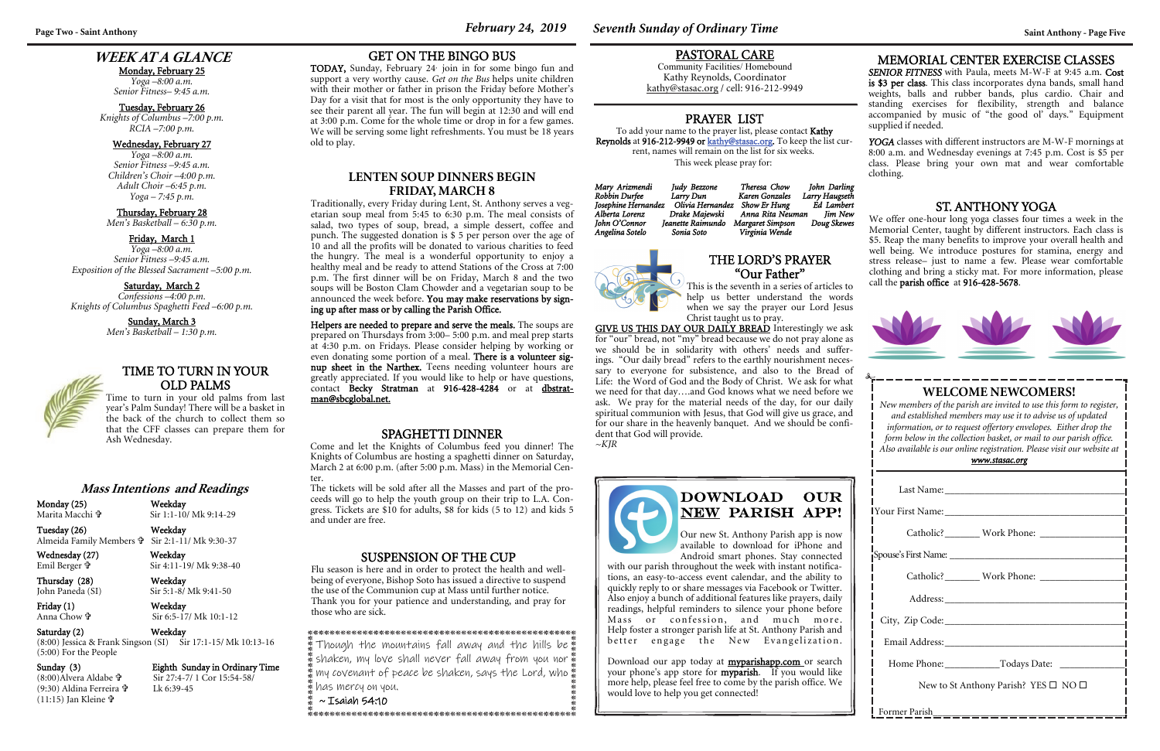# **WEEK AT A GLANCE**

#### Monday, February 25

*Yoga –8:00 a.m. Senior Fitness– 9:45 a.m.* 

#### Tuesday, February 26

*Knights of Columbus –7:00 p.m. RCIA –7:00 p.m.* 

#### Wednesday, February 27

*Yoga –8:00 a.m. Senior Fitness –9:45 a.m. Children's Choir –4:00 p.m. Adult Choir –6:45 p.m. Yoga – 7:45 p.m.* 

| <b>WELCOME NEWCOMERS!</b><br>New members of the parish are invited to use this form to register,<br>and established members may use it to advise us of updated<br>information, or to request offertory envelopes. Either drop the<br>form below in the collection basket, or mail to our parish office.<br>Also available is our online registration. Please visit our website at<br>www.stasac.org |  |  |  |
|-----------------------------------------------------------------------------------------------------------------------------------------------------------------------------------------------------------------------------------------------------------------------------------------------------------------------------------------------------------------------------------------------------|--|--|--|
|                                                                                                                                                                                                                                                                                                                                                                                                     |  |  |  |
|                                                                                                                                                                                                                                                                                                                                                                                                     |  |  |  |
|                                                                                                                                                                                                                                                                                                                                                                                                     |  |  |  |
|                                                                                                                                                                                                                                                                                                                                                                                                     |  |  |  |
|                                                                                                                                                                                                                                                                                                                                                                                                     |  |  |  |
|                                                                                                                                                                                                                                                                                                                                                                                                     |  |  |  |
|                                                                                                                                                                                                                                                                                                                                                                                                     |  |  |  |
|                                                                                                                                                                                                                                                                                                                                                                                                     |  |  |  |
| Home Phone: ______________Todays Date: ______                                                                                                                                                                                                                                                                                                                                                       |  |  |  |
| New to St Anthony Parish? YES □ NO □                                                                                                                                                                                                                                                                                                                                                                |  |  |  |
| Former Parish                                                                                                                                                                                                                                                                                                                                                                                       |  |  |  |

#### Thursday, February 28

*Men's Basketball – 6:30 p.m.* 

#### Friday, March 1

*Yoga –8:00 a.m. Senior Fitness –9:45 a.m. Exposition of the Blessed Sacrament –5:00 p.m.* 

#### Saturday, March 2

*Confessions –4:00 p.m. Knights of Columbus Spaghetti Feed –6:00 p.m.* 

> Sunday, March 3 *Men's Basketball – 1:30 p.m.*



Emil Berger Thursday (28) Weekday<br>John Paneda (SI) Sir 5:1-8/1

YOGA classes with different instructors are M-W-F mornings at 8:00 a.m. and Wednesday evenings at 7:45 p.m. Cost is \$5 per class. Please bring your own mat and wear comfortable clothing.

#### **Mass Intentions and Readings**

Monday (25) Weekday Marita Macchi

Sir 1:1-10/ Mk 9:14-29

Tuesday (26) Weekday Almeida Family Members Sir 2:1-11/ Mk 9:30-37

Wednesday (27) Weekday

Sir 4:11-19/ Mk 9:38-40

GIVE US THIS DAY OUR DAILY BREAD Interestingly we ask for "our" bread, not "my" bread because we do not pray alone as we should be in solidarity with others' needs and sufferings. "Our daily bread" refers to the earthly nourishment necessary to everyone for subsistence, and also to the Bread of Life: the Word of God and the Body of Christ. We ask for what we need for that day….and God knows what we need before we ask. We pray for the material needs of the day, for our daily spiritual communion with Jesus, that God will give us grace, and for our share in the heavenly banquet. And we should be confident that God will provide. <sup>~</sup>*KJR*

Anna Chow

# Friday (1) Weekday

Sir 6:5-17/ Mk 10:1-12

Saturday (2) Weekday

(8:00) Jessica & Frank Singson (SI) Sir 17:1-15/ Mk 10:13-16 (5:00) For the People

#### Sunday (3) Eighth Sunday in Ordinary Time

Sir 27:4-7/ 1 Cor 15:54-58/

To add your name to the prayer list, please contact Kathy **Reynolds** at **916-212-9949 or <u>kathy@stasac.or</u>g.** To keep the list current, names will remain on the list for six weeks. This week please pray for:

> *Mary Arizmendi Judy Bezzone Theresa Chow John Darling Robbin Durfee Larry Dun Karen Gonzales Larry Haugseth Josephine Hernandez Olivia Hernandez Show Er Hung Ed Lambert Alberta Lorenz Drake Majewski Anna Rita Neuman Jim New Margaret Simpson*



(8:00)Alvera Aldabe (9:30) Aldina Ferreira (11:15) Jan Kleine

Lk 6:39-45

### MEMORIAL CENTER EXERCISE CLASSES

*SENIOR FITNESS* with Paula, meets M-W-F at 9:45 a.m. Cost is \$3 per class. This class incorporates dyna bands, small hand weights, balls and rubber bands, plus cardio. Chair and standing exercises for flexibility, strength and balance accompanied by music of "the good ol' days." Equipment <sup>s</sup>upplied if needed.

GET ON THE BINGO BUS TODAY, Sunday, February 24, join in for some bingo fun and support a very worthy cause. *Get on the Bus* helps unite children with their mother or father in prison the Friday before Mother's Day for a visit that for most is the only opportunity they have to see their parent all year. The fun will begin at 12:30 and will end at 3:00 p.m. Come for the whole time or drop in for a few games. We will be serving some light refreshments. You must be 18 years

Though the mountains fall away and the hills be  $\stackrel{*}{*}$ shaken, my love shall never fall away from you nor  $\stackrel{*}{*}$  $\stackrel{*}{\ast}$  my covenant of peace be shaken, says the Lord, who  $\stackrel{*}{\ast}$ 

#### PASTORAL CARE

 $\stackrel{*}{\scriptstyle \ast}$  has mercy on you. ~ Isaiah 54:10

Community Facilities/ Homebound Kathy Reynolds, Coordinator kathy@stasac.org / cell: 916-212-9949

with our parish throughout the week with instant notifications, an easy-to-access event calendar, and the ability to quickly reply to or share messages via Facebook or Twitter. Also enjoy a bunch of additional features like prayers, daily readings, helpful reminders to silence your phone before Mass or confession, and much more. Help foster a stronger parish life at St. Anthony Parish and better engage the New Evangelization.

#### THE LORD'S PRAYER "Our Father"

This is the seventh in a series of articles to help us better understand the words when we say the prayer our Lord Jesus Christ taught us to pray.

Download our app today at **myparishapp.com** or search your phone's app store for **myparish.** If you would like more help, please feel free to come by the parish office. We would love to help you get connected!

Sir 5:1-8/ Mk 9:41-50

### ST. ANTHONY YOGA

We offer one-hour long yoga classes four times a week in the Memorial Center, taught by different instructors. Each class is \$5. Reap the many benefits to improve your overall health and well being. We introduce postures for stamina, energy and stress release– just to name a few. Please wear comfortable clothing and bring a sticky mat. For more information, please call the parish office at 916-428-5678.



#### PRAYER LIST

| Mary Arizmendi      | Judy Bezzone      | Theresa Chow            |
|---------------------|-------------------|-------------------------|
| Robbin Durfee       | Larry Dun         | Karen Gonzales          |
| Josephine Hernandez | Olivia Hernandez  | Show Er Hung            |
| Alberta Lorenz      | Drake Majewski    | Anna Rita Neu           |
| John O'Connor       | Jeanette Raimundo | <b>Margaret Simpson</b> |
| Angelina Sotelo     | Sonia Soto        | Virginia Wende          |

SUSPENSION OF THE CUP Flu season is here and in order to protect the health and wellbeing of everyone, Bishop Soto has issued a directive to suspend the use of the Communion cup at Mass until further notice. Thank you for your patience and understanding, and pray for

SPAGHETTI DINNER<br>Come and let the Knights of Columbus feed you dinner! The Knights of Columbus are hosting a spaghetti dinner on Saturday, March 2 at 6:00 p.m. (after 5:00 p.m. Mass) in the Memorial Cen-

those who are sick.

old to play.

## **Page Two - Saint Anthony Saint Anthony - Page Five** *February 24, 2019**Seventh Sunday of Ordinary Time**Saint Anthony - Page Five*

# DOWNLOAD OUR NEW PARISH APP!

Our new St. Anthony Parish app is now available to download for iPhone and Android smart phones. Stay connected

#### TIME TO TURN IN YOUR OLD PALMS

Time to turn in your old palms from last year's Palm Sunday! There will be a basket in the back of the church to collect them so that the CFF classes can prepare them for

ter.

The tickets will be sold after all the Masses and part of the proceeds will go to help the youth group on their trip to L.A. Congress. Tickets are \$10 for adults, \$8 for kids (5 to 12) and kids 5

and under are free.

**LENTEN SOUP DINNERS BEGIN FRIDAY, MARCH 8**  Traditionally, every Friday during Lent, St. Anthony serves a vegetarian soup meal from 5:45 to 6:30 p.m. The meal consists of salad, two types of soup, bread, a simple dessert, coffee and punch. The suggested donation is \$ 5 per person over the age of 10 and all the profits will be donated to various charities to feed the hungry. The meal is a wonderful opportunity to enjoy a healthy meal and be ready to attend Stations of the Cross at 7:00 p.m. The first dinner will be on Friday, March 8 and the two soups will be Boston Clam Chowder and a vegetarian soup to be announced the week before. You may make reservations by sign-

ing up after mass or by calling the Parish Office.

Helpers are needed to prepare and serve the meals. The soups are prepared on Thursdays from 3:00– 5:00 p.m. and meal prep starts at 4:30 p.m. on Fridays. Please consider helping by working or even donating some portion of a meal. There is a volunteer signup sheet in the Narthex. Teens needing volunteer hours are greatly appreciated. If you would like to help or have questions, contact Becky Stratman at 916-428-4284 or at dbstrat-

man@sbcglobal.net.